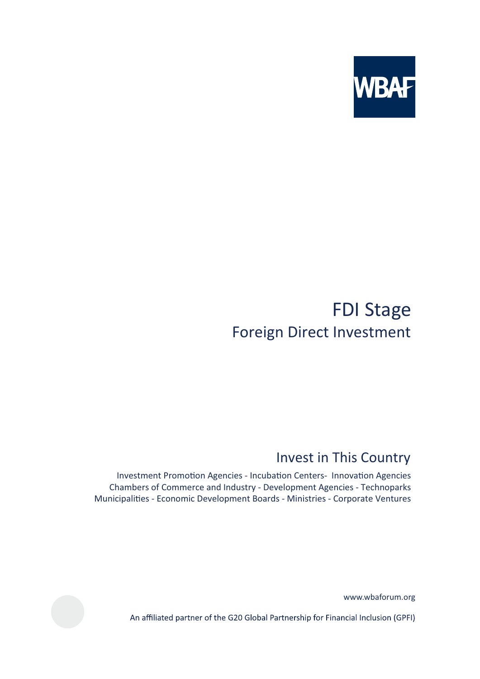

# **FDI Stage Foreign Direct Investment**

## Invest in This Country

Investment Promotion Agencies - Incubation Centers- Innovation Agencies Chambers of Commerce and Industry - Development Agencies - Technoparks Municipalities - Economic Development Boards - Ministries - Corporate Ventures

www.wbaforum.org

An affiliated partner of the G20 Global Partnership for Financial Inclusion (GPFI)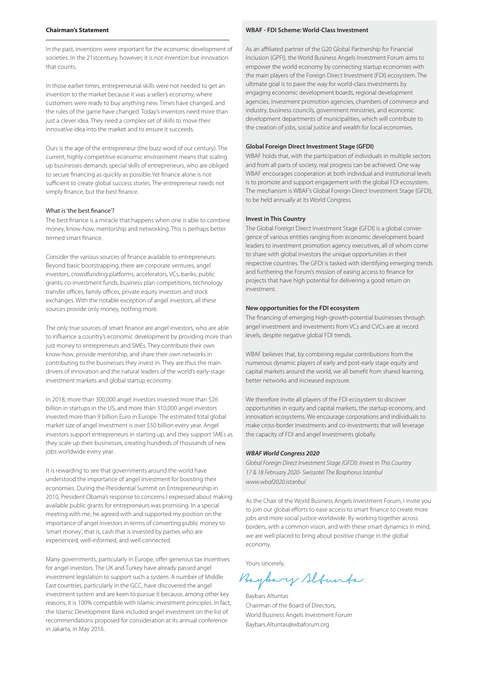## **Chairman's Statement**

In the past, inventions were important for the economic development of societies. In the 21stcentury, however, it is not invention but innovation that counts.

In those earlier times, entrepreneurial skills were not needed to get an invention to the market because it was a seller's economy, where customers were ready to buy anything new. Times have changed, and the rules of the game have changed. Today's inventors need more than just a clever idea. They need a complex set of skills to move their innovative idea into the market and to ensure it succeeds.

Ours is the age of the entrepreneur (the buzz word of our century). The current, highly competitive economic environment means that scaling up businesses demands special skills of entrepreneurs, who are obliged to secure financing as quickly as possible.Yet finance alone is not sufficient to create global success stories. The entrepreneur needs not simply finance, but the best finance.

where the best marrest.<br>The best finance is a miracle that happens when one is able to combine money, know-how, mentorship and networking. This is perhaps better termed smart finance.

Consider the various sources of finance available to entrepreneurs: Beyond basic bootstrapping, there are corporate ventures, angel investors, crowdfunding platforms, accelerators, VCs, banks, public grants, co-investment funds, business plan competitions, technology transfer offices, family offices, private equity investors and stock exchanges. With the notable exception of angel investors, all these sources provide only money, nothing more.

The only true sources of smart finance are angel investors, who are able to influence a country's economic development by providing more than just money to entrepreneurs and SMEs. They contribute their own know-how, provide mentorship, and share their own networks in contributing to the businesses they invest in. They are thus the main drivers of innovation and the natural leaders of the world's early-stage investment markets and global startup economy.

In 2018, more than 300,000 angel investors invested more than \$26 billion in startups in the US, and more than 310,000 angel investors invested more than 9 billion Euro in Europe. The estimated total global market size of angel investment is over \$50 billion every year. Angel investors support entrepreneurs in starting up, and they support SMEs as they scale up their businesses, creating hundreds of thousands of new jobs worldwide every year.

It is rewarding to see that governments around the world have understood the importance of angel investment for boosting their economies. During the Presidential Summit on Entrepreneurship in 2010, President Obama's response to concerns I expressed about making available public grants for entrepreneurs was promising. In a special meeting with me, he agreed with and supported my position on the importance of angel investors in terms of converting public money to 'smart money', that is, cash that is invested by parties who are experienced, well-informed, and well connected.

Many governments, particularly in Europe, offer generous tax incentives for angel investors. The UK and Turkey have already passed angel investment legislation to support such a system. A number of Middle East countries, particularly in the GCC, have discovered the angel investment system and are keen to pursue it because, among other key reasons, it is 100% compatible with Islamic investment principles. In fact, the Islamic Development Bank included angel investment on the list of recommendations proposed for consideration at its annual conference in Jakarta, in May 2016.

## **WBAF - FDI Scheme: World-Class Investment**

As an affiliated partner of the G20 Global Partnership for Financial Inclusion (GPFI), the World Business Angels Investment Forum aims to empower the world economy by connecting startup economies with the main players of the Foreign Direct Investment (FDI) ecosystem. The ultimate goal is to pave the way for world-class investments by engaging economic development boards, regional development agencies, investment promotion agencies, chambers of commerce and industry, business councils, government ministries, and economic development departments of municipalities, which will contribute to the creation of jobs, social justice and wealth for local economies.

#### **Global Foreign Direct Investment Stage (GFDI)**

WBAF holds that, with the participation of individuals in multiple sectors and from all parts of society, real progress can be achieved. One way WBAF encourages cooperation at both individual and institutional levels is to promote and support engagement with the global FDI ecosystem. The mechanism is WBAF's Global Foreign Direct Investment Stage (GFDI), to be held annually at its World Congress.

#### **Invest in This Country**

The Global Foreign Direct Investment Stage (GFDI) is a global convergence of various entities ranging from economic development board leaders to investment promotion agency executives, all of whom come to share with global investors the unique opportunities in their respective countries. The GFDI is tasked with identifying emerging trends and furthering the Forum's mission of easing access to finance for projects that have high potential for delivering a good return on investment.

#### **New opportunities for the FDI ecosystem**

The financing of emerging high-growth-potential businesses through angel investment and investments from VCs and CVCs are at record levels, despite negative global FDI trends.

WBAF believes that, by combining regular contributions from the numerous dynamic players of early and post-early stage equity and capital markets around the world, we all benefit from shared learning, better networks and increased exposure.

We therefore invite all players of the FDI ecosystem to discover opportunities in equity and capital markets, the startup economy, and innovation ecosystems. We encourage corporations and individuals to make cross-border investments and co-investments that will leverage the capacity of FDI and angel investments globally.

#### *WBAF World Congress 2020*

Global Foreign Direct Investment Stage (GFDI): Invest in This Country 17 & 18 February 2020- Swissotel The Bosphorus Istanbul www.wbaf2020.istanbul

As the Chair of the World Business Angels Investment Forum, I invite you to join our global efforts to ease access to smart finance to create more jobs and more social justice worldwide. By working together across borders, with a common vision, and with these smart dynamics in mind, we are well placed to bring about positive change in the global economy.

Yours sincerely,

Buybary Slfunta

Baybars Altuntas Chairman of the Board of Directors, World Business Angels Investment Forum Baybars.Altuntas@wbaforum.org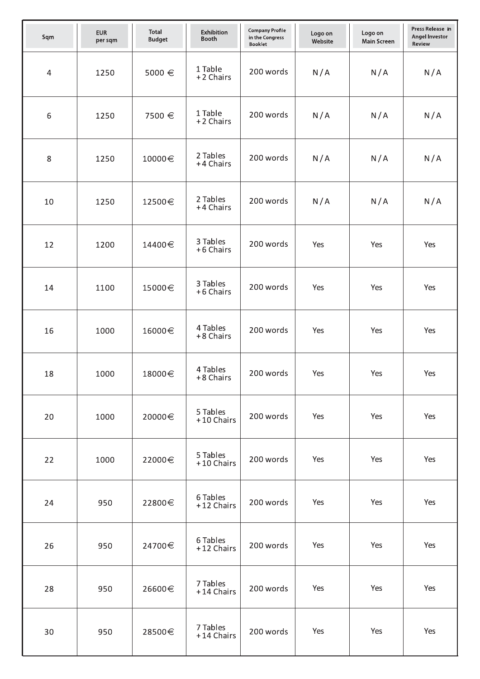| Sqm            | <b>EUR</b><br>per sqm | <b>Total</b><br><b>Budget</b> | Exhibition<br>Booth    | <b>Company Profile</b><br>in the Congress<br><b>Booklet</b> | Logo on<br>Website | Logo on<br><b>Main Screen</b> | Press Release in<br><b>Angel Investor</b><br>Review |
|----------------|-----------------------|-------------------------------|------------------------|-------------------------------------------------------------|--------------------|-------------------------------|-----------------------------------------------------|
| $\overline{4}$ | 1250                  | 5000 €                        | 1 Table<br>+2 Chairs   | 200 words                                                   | N/A                | N/A                           | N/A                                                 |
| 6              | 1250                  | 7500 €                        | 1 Table<br>+2 Chairs   | 200 words                                                   | N/A                | N/A                           | N/A                                                 |
| 8              | 1250                  | 10000€                        | 2 Tables<br>+4 Chairs  | 200 words                                                   | N/A                | N/A                           | N/A                                                 |
| 10             | 1250                  | 12500€                        | 2 Tables<br>+4 Chairs  | 200 words                                                   | N/A                | N/A                           | N/A                                                 |
| 12             | 1200                  | 14400€                        | 3 Tables<br>+6 Chairs  | 200 words                                                   | Yes                | Yes                           | Yes                                                 |
| 14             | 1100                  | 15000€                        | 3 Tables<br>+6 Chairs  | 200 words                                                   | Yes                | Yes                           | Yes                                                 |
| 16             | 1000                  | 16000€                        | 4 Tables<br>+8 Chairs  | 200 words                                                   | Yes                | Yes                           | Yes                                                 |
| 18             | 1000                  | 18000€                        | 4 Tables<br>+8 Chairs  | 200 words                                                   | Yes                | Yes                           | Yes                                                 |
| 20             | 1000                  | 20000€                        | 5 Tables<br>+10 Chairs | 200 words                                                   | Yes                | Yes                           | Yes                                                 |
| 22             | 1000                  | 22000€                        | 5 Tables<br>+10 Chairs | 200 words                                                   | Yes                | Yes                           | Yes                                                 |
| 24             | 950                   | 22800€                        | 6 Tables<br>+12 Chairs | 200 words                                                   | Yes                | Yes                           | Yes                                                 |
| 26             | 950                   | 24700€                        | 6 Tables<br>+12 Chairs | 200 words                                                   | Yes                | Yes                           | Yes                                                 |
| 28             | 950                   | 26600€                        | 7 Tables<br>+14 Chairs | 200 words                                                   | Yes                | Yes                           | Yes                                                 |
| 30             | 950                   | 28500€                        | 7 Tables<br>+14 Chairs | 200 words                                                   | Yes                | Yes                           | Yes                                                 |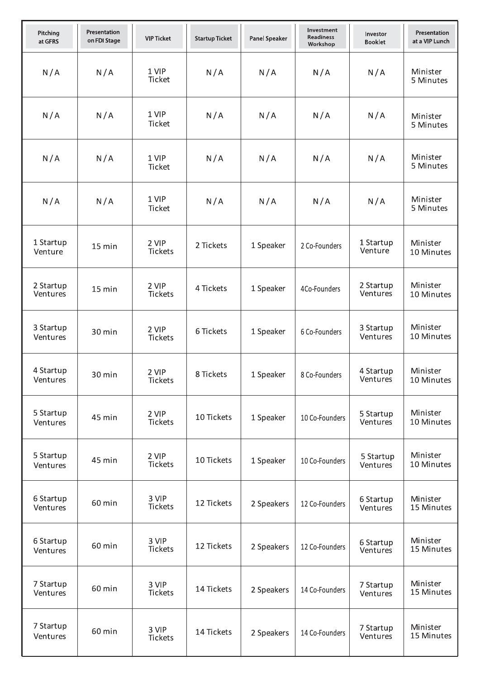| Pitching<br>at GFRS   | Presentation<br>on FDI Stage | <b>VIP Ticket</b>       | <b>Startup Ticket</b> | <b>Panel Speaker</b> | Investment<br><b>Readiness</b><br>Workshop | Investor<br><b>Booklet</b> | Presentation<br>at a VIP Lunch |
|-----------------------|------------------------------|-------------------------|-----------------------|----------------------|--------------------------------------------|----------------------------|--------------------------------|
| N/A                   | N/A                          | 1 VIP<br><b>Ticket</b>  | N/A                   | N/A                  | N/A                                        | N/A                        | Minister<br>5 Minutes          |
| N/A                   | N/A                          | 1 VIP<br><b>Ticket</b>  | N/A                   | N/A                  | N/A                                        | N/A                        | Minister<br>5 Minutes          |
| N/A                   | N/A                          | 1 VIP<br><b>Ticket</b>  | N/A                   | N/A                  | N/A                                        | N/A                        | Minister<br>5 Minutes          |
| N/A                   | N/A                          | 1 VIP<br>Ticket         | N/A                   | N/A                  | N/A                                        | N/A                        | Minister<br>5 Minutes          |
| 1 Startup<br>Venture  | 15 min                       | 2 VIP<br>Tickets        | 2 Tickets             | 1 Speaker            | 2 Co-Founders                              | 1 Startup<br>Venture       | Minister<br>10 Minutes         |
| 2 Startup<br>Ventures | 15 min                       | 2 VIP<br>Tickets        | 4 Tickets             | 1 Speaker            | 4Co-Founders                               | 2 Startup<br>Ventures      | Minister<br>10 Minutes         |
| 3 Startup<br>Ventures | 30 min                       | 2 VIP<br><b>Tickets</b> | 6 Tickets             | 1 Speaker            | 6 Co-Founders                              | 3 Startup<br>Ventures      | Minister<br>10 Minutes         |
| 4 Startup<br>Ventures | 30 min                       | 2 VIP<br>Tickets        | 8 Tickets             | 1 Speaker            | 8 Co-Founders                              | 4 Startup<br>Ventures      | Minister<br>10 Minutes         |
| 5 Startup<br>Ventures | 45 min                       | 2 VIP<br>Tickets        | 10 Tickets            | 1 Speaker            | 10 Co-Founders                             | 5 Startup<br>Ventures      | Minister<br>10 Minutes         |
| 5 Startup<br>Ventures | 45 min                       | 2 VIP<br>Tickets        | 10 Tickets            | 1 Speaker            | 10 Co-Founders                             | 5 Startup<br>Ventures      | Minister<br>10 Minutes         |
| 6 Startup<br>Ventures | 60 min                       | 3 VIP<br>Tickets        | 12 Tickets            | 2 Speakers           | 12 Co-Founders                             | 6 Startup<br>Ventures      | Minister<br>15 Minutes         |
| 6 Startup<br>Ventures | 60 min                       | 3 VIP<br>Tickets        | 12 Tickets            | 2 Speakers           | 12 Co-Founders                             | 6 Startup<br>Ventures      | Minister<br>15 Minutes         |
| 7 Startup<br>Ventures | 60 min                       | 3 VIP<br><b>Tickets</b> | 14 Tickets            | 2 Speakers           | 14 Co-Founders                             | 7 Startup<br>Ventures      | Minister<br>15 Minutes         |
| 7 Startup<br>Ventures | 60 min                       | 3 VIP<br>Tickets        | 14 Tickets            | 2 Speakers           | 14 Co-Founders                             | 7 Startup<br>Ventures      | Minister<br>15 Minutes         |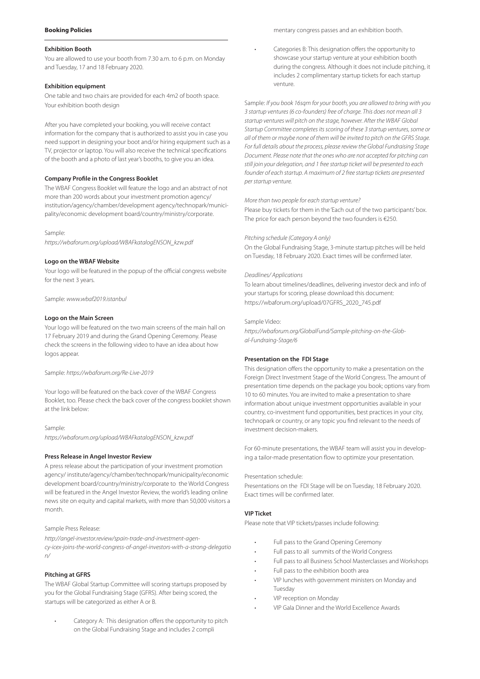## **Booking Policies**

#### **Exhibition Booth**

You are allowed to use your booth from 7.30 a.m. to 6 p.m. on Monday and Tuesday, 17 and 18 February 2020.

#### **Exhibition equipment**

One table and two chairs are provided for each 4m2 of booth space. Your exhibition booth design

After you have completed your booking, you will receive contact information for the company that is authorized to assist you in case you need support in designing your boot and/or hiring equipment such as a TV, projector or laptop. You will also receive the technical specifications of the booth and a photo of last year's booths, to give you an idea.

#### **Company Profile in the Congress Booklet**

The WBAF Congress Booklet will feature the logo and an abstract of not more than 200 words about your investment promotion agency/ institution/agency/chamber/development agency/technopark/municipality/economic development board/country/ministry/corporate.

#### Sample:

https://wbaforum.org/upload/WBAFkatalogENSON\_kzw.pdf

#### **Logo on the WBAF Website**

Your logo will be featured in the popup of the official congress website for the next 3 years.

## Sample: www.wbaf2019.istanbul

## **Logo on the Main Screen**

Your logo will be featured on the two main screens of the main hall on 17 February 2019 and during the Grand Opening Ceremony. Please check the screens in the following video to have an idea about how logos appear.

#### Sample: https://wbaforum.org/Re-Live-2019

Your logo will be featured on the back cover of the WBAF Congress Booklet, too. Please check the back cover of the congress booklet shown at the link below:

Sample: https://wbaforum.org/upload/WBAFkatalogENSON\_kzw.pdf

#### **Press Release in Angel Investor Review**

A press release about the participation of your investment promotion agency/ institute/agency/chamber/technopark/municipality/economic development board/country/ministry/corporate to the World Congress will be featured in the Angel Investor Review, the world's leading online news site on equity and capital markets, with more than 50,000 visitors a month.

#### Sample Press Release:

http://angel-investor.review/spain-trade-and-investment-agency-icex-joins-the-world-congress-of-angel-investors-with-a-strong-delegatio n/

#### **Pitching at GFRS**

The WBAF Global Startup Committee will scoring startups proposed by you for the Global Fundraising Stage (GFRS). After being scored, the startups will be categorized as either A or B.

Category A: This designation offers the opportunity to pitch on the Global Fundraising Stage and includes 2 compli

mentary congress passes and an exhibition booth.

Categories B: This designation offers the opportunity to showcase your startup venture at your exhibition booth during the congress. Although it does not include pitching, it includes 2 complimentary startup tickets for each startup venture.

Sample: If you book 16sqm for your booth, you are allowed to bring with you 3 startup ventures (6 co-founders) free of charge. This does not mean all 3 startup ventures will pitch on the stage, however. After the WBAF Global Startup Committee completes its scoring of these 3 startup ventures, some or all of them or maybe none of them will be invited to pitch on the GFRS Stage. For full details about the process, please review the Global Fundraising Stage Document. Please note that the ones who are not accepted for pitching can still join your delegation, and 1 free startup ticket will be presented to each founder of each startup. A maximum of 2 free startup tickets are presented per startup venture.

#### More than two people for each startup venture?

Please buy tickets for them in the 'Each out of the two participants' box. The price for each person beyond the two founders is €250.

#### Pitching schedule (Category A only)

On the Global Fundraising Stage, 3-minute startup pitches will be held on Tuesday, 18 February 2020. Exact times will be confirmed later.

#### Deadlines/ Applications

To learn about timelines/deadlines, delivering investor deck and info of your startups for scoring, please download this document: https://wbaforum.org/upload/07GFRS\_2020\_745.pdf

#### Sample Video:

https://wbaforum.org/GlobalFund/Sample-pitching-on-the-Global-Fundraing-Stage/6

## **Presentation on the FDI Stage**

This designation offers the opportunity to make a presentation on the Foreign Direct Investment Stage of the World Congress. The amount of presentation time depends on the package you book; options vary from 10 to 60 minutes. You are invited to make a presentation to share information about unique investment opportunities available in your country, co-investment fund opportunities, best practices in your city, technopark or country, or any topic you find relevant to the needs of investment decision-makers.

For 60-minute presentations, the WBAF team will assist you in developing a tailor-made presentation flow to optimize your presentation.

#### Presentation schedule:

Presentations on the FDI Stage will be on Tuesday, 18 February 2020. Exact times will be confirmed later.

#### **VIP Ticket**

Please note that VIP tickets/passes include following:

- Full pass to the Grand Opening Ceremony
- Full pass to all summits of the World Congress
- Full pass to all Business School Masterclasses and Workshops
- Full pass to the exhibition booth area
- VIP lunches with government ministers on Monday and Tuesday
- VIP reception on Monday
- VIP Gala Dinner and the World Excellence Awards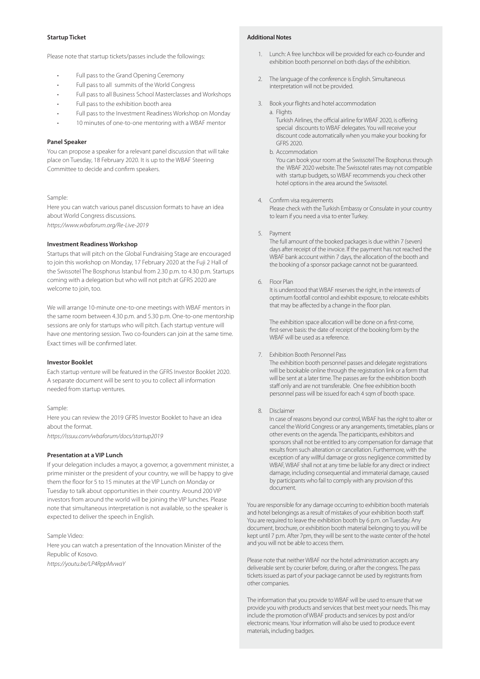## **Startup Ticket**

Please note that startup tickets/passes include the followings:

- Full pass to the Grand Opening Ceremony
- Full pass to all summits of the World Congress
- Full pass to all Business School Masterclasses and Workshops
- Full pass to the exhibition booth area
- Full pass to the Investment Readiness Workshop on Monday
- 10 minutes of one-to-one mentoring with a WBAF mentor

#### **Panel Speaker**

You can propose a speaker for a relevant panel discussion that will take place on Tuesday, 18 February 2020. It is up to the WBAF Steering Committee to decide and confirm speakers.

## Sample:

Here you can watch various panel discussion formats to have an idea about World Congress discussions.

https://www.wbaforum.org/Re-Live-2019

## **Investment Readiness Workshop**

Startups that will pitch on the Global Fundraising Stage are encouraged to join this workshop on Monday, 17 February 2020 at the Fuji 2 Hall of the Swissotel The Bosphorus Istanbul from 2.30 p.m. to 4.30 p.m. Startups coming with a delegation but who will not pitch at GFRS 2020 are welcome to join, too.

We will arrange 10-minute one-to-one meetings with WBAF mentors in the same room between 4.30 p.m. and 5.30 p.m. One-to-one mentorship sessions are only for startups who will pitch. Each startup venture will have one mentoring session. Two co-founders can join at the same time. Exact times will be confirmed later.

#### **Investor Booklet**

Each startup venture will be featured in the GFRS Investor Booklet 2020. A separate document will be sent to you to collect all information needed from startup ventures.

#### Sample:

Here you can review the 2019 GFRS Investor Booklet to have an idea about the format.

https://issuu.com/wbaforum/docs/startup2019

## **Presentation at a VIP Lunch**

If your delegation includes a mayor, a governor, a government minister, a prime minister or the president of your country, we will be happy to give them the floor for 5 to 15 minutes at the VIP Lunch on Monday or Tuesday to talk about opportunities in their country. Around 200 VIP investors from around the world will be joining the VIP lunches. Please note that simultaneous interpretation is not available, so the speaker is expected to deliver the speech in English.

### Sample Video:

Here you can watch a presentation of the Innovation Minister of the Republic of Kosovo.

https://youtu.be/LP4RppMvwaY

## **Additional Notes**

- 1. Lunch: A free lunchbox will be provided for each co-founder and exhibition booth personnel on both days of the exhibition.
- 2. The language of the conference is English. Simultaneous interpretation will not be provided.
- 3. Book your flights and hotel accommodation
	- a. Flights Turkish Airlines, the official airline for WBAF 2020, is offering special discounts to WBAF delegates. You will receive your discount code automatically when you make your booking for GFRS 2020.
	- b. Accommodation You can book your room at the Swissotel The Bosphorus through the WBAF 2020 website. The Swissotel rates may not compatible with startup budgets, so WBAF recommends you check other hotel options in the area around the Swissotel.
- 4. Confirm visa requirements

 Please check with the Turkish Embassy or Consulate in your country to learn if you need a visa to enter Turkey.

5. Payment

 The full amount of the booked packages is due within 7 (seven) days after receipt of the invoice. If the payment has not reached the WBAF bank account within 7 days, the allocation of the booth and the booking of a sponsor package cannot not be guaranteed.

6. Floor Plan

 It is understood that WBAF reserves the right, in the interests of optimum footfall control and exhibit exposure, to relocate exhibits that may be affected by a change in the floor plan.

 The exhibition space allocation will be done on a first-come, first-serve basis: the date of receipt of the booking form by the WBAF will be used as a reference.

7. Exhibition Booth Personnel Pass

 The exhibition booth personnel passes and delegate registrations will be bookable online through the registration link or a form that will be sent at a later time. The passes are for the exhibition booth staff only and are not transferable. One free exhibition booth personnel pass will be issued for each 4 sqm of booth space.

8. Disclaimer

 In case of reasons beyond our control, WBAF has the right to alter or cancel the World Congress or any arrangements, timetables, plans or other events on the agenda. The participants, exhibitors and sponsors shall not be entitled to any compensation for damage that results from such alteration or cancellation. Furthermore, with the exception of any willful damage or gross negligence committed by WBAF, WBAF shall not at any time be liable for any direct or indirect damage, including consequential and immaterial damage, caused by participants who fail to comply with any provision of this document.

You are responsible for any damage occurring to exhibition booth materials and hotel belongings as a result of mistakes of your exhibition booth staff. You are required to leave the exhibition booth by 6 p.m. on Tuesday. Any document, brochure, or exhibition booth material belonging to you will be kept until 7 p.m. After 7pm, they will be sent to the waste center of the hotel and you will not be able to access them.

Please note that neither WBAF nor the hotel administration accepts any deliverable sent by courier before, during, or after the congress. The pass tickets issued as part of your package cannot be used by registrants from other companies.

The information that you provide to WBAF will be used to ensure that we provide you with products and services that best meet your needs. This may include the promotion of WBAF products and services by post and/or electronic means. Your information will also be used to produce event materials, including badges.